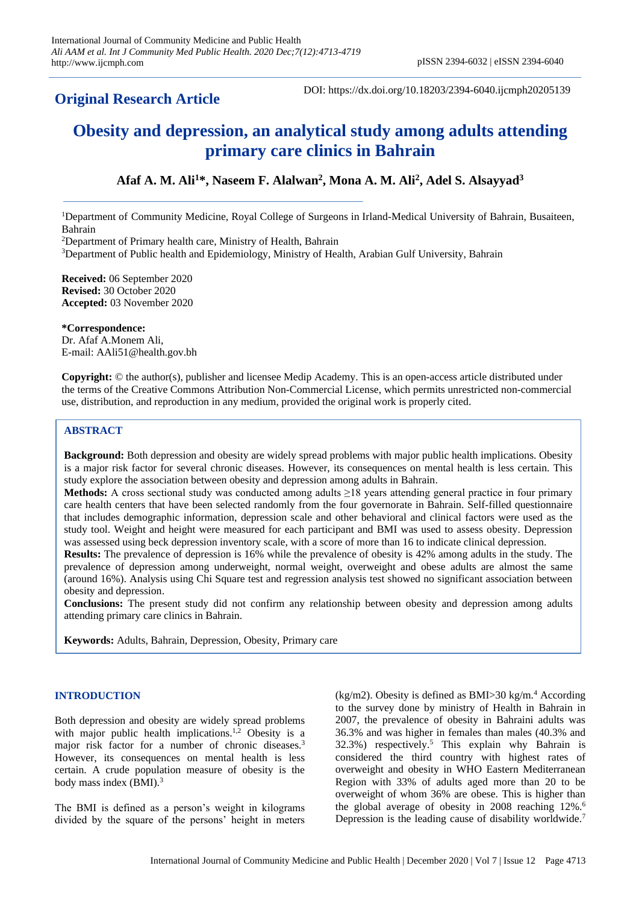# **Original Research Article**

DOI: https://dx.doi.org/10.18203/2394-6040.ijcmph20205139

# **Obesity and depression, an analytical study among adults attending primary care clinics in Bahrain**

# **Afaf A. M. Ali<sup>1</sup>\*, Naseem F. Alalwan<sup>2</sup> , Mona A. M. Ali<sup>2</sup> , Adel S. Alsayyad<sup>3</sup>**

<sup>1</sup>Department of Community Medicine, Royal College of Surgeons in Irland-Medical University of Bahrain, Busaiteen, Bahrain

<sup>2</sup>Department of Primary health care, Ministry of Health, Bahrain

<sup>3</sup>Department of Public health and Epidemiology, Ministry of Health, Arabian Gulf University, Bahrain

**Received:** 06 September 2020 **Revised:** 30 October 2020 **Accepted:** 03 November 2020

**\*Correspondence:** Dr. Afaf A.Monem Ali, E-mail: AAli51@health.gov.bh

**Copyright:** © the author(s), publisher and licensee Medip Academy. This is an open-access article distributed under the terms of the Creative Commons Attribution Non-Commercial License, which permits unrestricted non-commercial use, distribution, and reproduction in any medium, provided the original work is properly cited.

# **ABSTRACT**

**Background:** Both depression and obesity are widely spread problems with major public health implications. Obesity is a major risk factor for several chronic diseases. However, its consequences on mental health is less certain. This study explore the association between obesity and depression among adults in Bahrain.

**Methods:** A cross sectional study was conducted among adults ≥18 years attending general practice in four primary care health centers that have been selected randomly from the four governorate in Bahrain. Self-filled questionnaire that includes demographic information, depression scale and other behavioral and clinical factors were used as the study tool. Weight and height were measured for each participant and BMI was used to assess obesity. Depression was assessed using beck depression inventory scale, with a score of more than 16 to indicate clinical depression.

**Results:** The prevalence of depression is 16% while the prevalence of obesity is 42% among adults in the study. The prevalence of depression among underweight, normal weight, overweight and obese adults are almost the same (around 16%). Analysis using Chi Square test and regression analysis test showed no significant association between obesity and depression.

**Conclusions:** The present study did not confirm any relationship between obesity and depression among adults attending primary care clinics in Bahrain.

**Keywords:** Adults, Bahrain, Depression, Obesity, Primary care

# **INTRODUCTION**

Both depression and obesity are widely spread problems with major public health implications.<sup>1,2</sup> Obesity is a major risk factor for a number of chronic diseases.<sup>3</sup> However, its consequences on mental health is less certain. A crude population measure of obesity is the body mass index (BMI).<sup>3</sup>

The BMI is defined as a person's weight in kilograms divided by the square of the persons' height in meters  $(kg/m2)$ . Obesity is defined as BMI $>30$  kg/m.<sup>4</sup> According to the survey done by ministry of Health in Bahrain in 2007, the prevalence of obesity in Bahraini adults was 36.3% and was higher in females than males (40.3% and 32.3%) respectively.<sup>5</sup> This explain why Bahrain is considered the third country with highest rates of overweight and obesity in WHO Eastern Mediterranean Region with 33% of adults aged more than 20 to be overweight of whom 36% are obese. This is higher than the global average of obesity in 2008 reaching 12%.<sup>6</sup> Depression is the leading cause of disability worldwide.<sup>7</sup>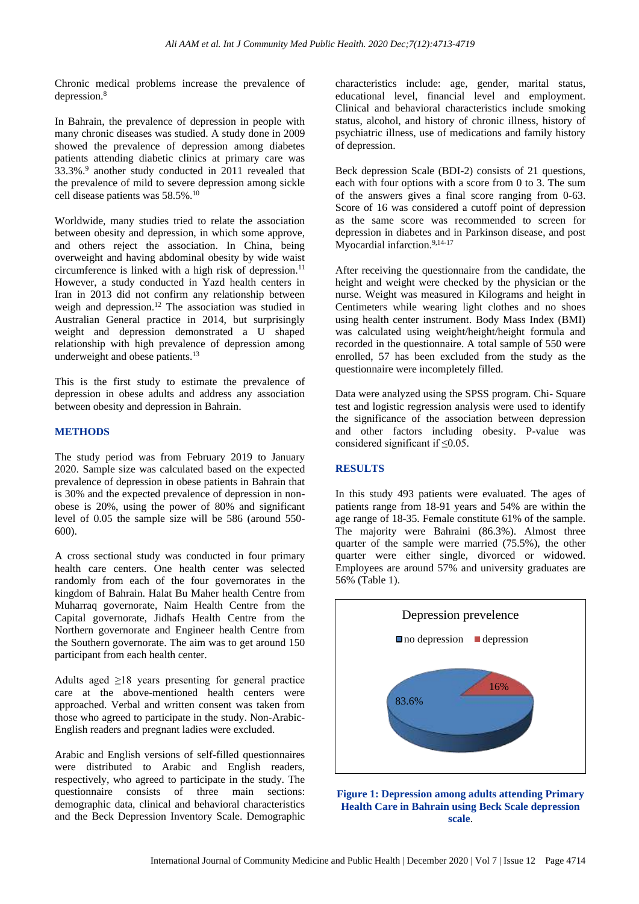Chronic medical problems increase the prevalence of depression.<sup>8</sup>

In Bahrain, the prevalence of depression in people with many chronic diseases was studied. A study done in 2009 showed the prevalence of depression among diabetes patients attending diabetic clinics at primary care was 33.3%.<sup>9</sup> another study conducted in 2011 revealed that the prevalence of mild to severe depression among sickle cell disease patients was 58.5%.<sup>10</sup>

Worldwide, many studies tried to relate the association between obesity and depression, in which some approve, and others reject the association. In China, being overweight and having abdominal obesity by wide waist circumference is linked with a high risk of depression.<sup>11</sup> However, a study conducted in Yazd health centers in Iran in 2013 did not confirm any relationship between weigh and depression.<sup>12</sup> The association was studied in Australian General practice in 2014, but surprisingly weight and depression demonstrated a U shaped relationship with high prevalence of depression among underweight and obese patients.<sup>13</sup>

This is the first study to estimate the prevalence of depression in obese adults and address any association between obesity and depression in Bahrain.

#### **METHODS**

The study period was from February 2019 to January 2020. Sample size was calculated based on the expected prevalence of depression in obese patients in Bahrain that is 30% and the expected prevalence of depression in nonobese is 20%, using the power of 80% and significant level of 0.05 the sample size will be 586 (around 550- 600).

A cross sectional study was conducted in four primary health care centers. One health center was selected randomly from each of the four governorates in the kingdom of Bahrain. Halat Bu Maher health Centre from Muharraq governorate, Naim Health Centre from the Capital governorate, Jidhafs Health Centre from the Northern governorate and Engineer health Centre from the Southern governorate. The aim was to get around 150 participant from each health center.

Adults aged  $\geq$ 18 years presenting for general practice care at the above-mentioned health centers were approached. Verbal and written consent was taken from those who agreed to participate in the study. Non-Arabic-English readers and pregnant ladies were excluded.

Arabic and English versions of self-filled questionnaires were distributed to Arabic and English readers, respectively, who agreed to participate in the study. The questionnaire consists of three main sections: demographic data, clinical and behavioral characteristics and the Beck Depression Inventory Scale. Demographic

characteristics include: age, gender, marital status, educational level, financial level and employment. Clinical and behavioral characteristics include smoking status, alcohol, and history of chronic illness, history of psychiatric illness, use of medications and family history of depression.

Beck depression Scale (BDI-2) consists of 21 questions, each with four options with a score from 0 to 3. The sum of the answers gives a final score ranging from 0-63. Score of 16 was considered a cutoff point of depression as the same score was recommended to screen for depression in diabetes and in Parkinson disease, and post Myocardial infarction. 9,14-17

After receiving the questionnaire from the candidate, the height and weight were checked by the physician or the nurse. Weight was measured in Kilograms and height in Centimeters while wearing light clothes and no shoes using health center instrument. Body Mass Index (BMI) was calculated using weight/height/height formula and recorded in the questionnaire. A total sample of 550 were enrolled, 57 has been excluded from the study as the questionnaire were incompletely filled.

Data were analyzed using the SPSS program. Chi- Square test and logistic regression analysis were used to identify the significance of the association between depression and other factors including obesity. P-value was considered significant if ≤0.05.

# **RESULTS**

In this study 493 patients were evaluated. The ages of patients range from 18-91 years and 54% are within the age range of 18-35. Female constitute 61% of the sample. The majority were Bahraini (86.3%). Almost three quarter of the sample were married (75.5%), the other quarter were either single, divorced or widowed. Employees are around 57% and university graduates are 56% (Table 1).



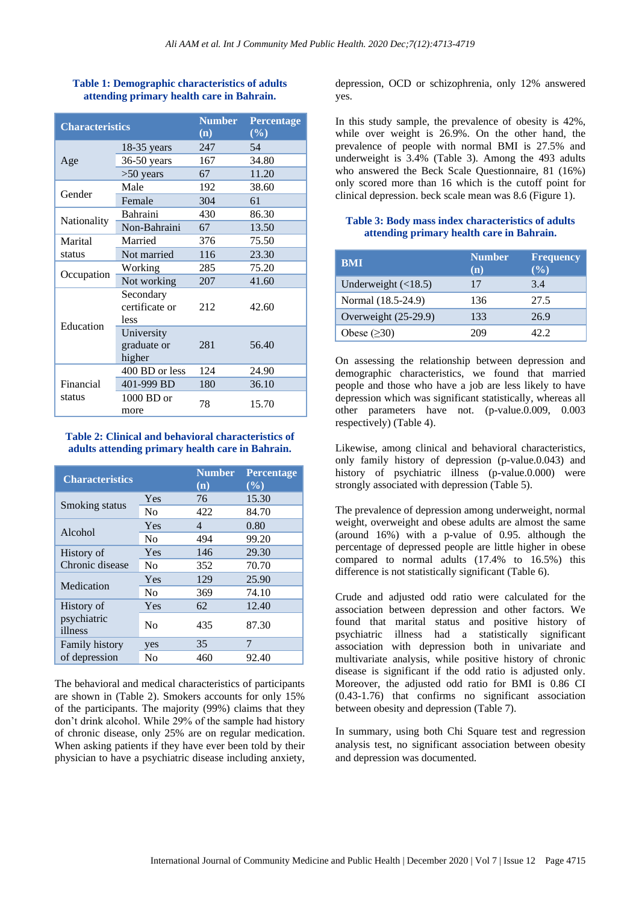| <b>Characteristics</b> |                                     | <b>Number</b> | Percentage |
|------------------------|-------------------------------------|---------------|------------|
|                        |                                     | (n)           | $(\%)$     |
| Age                    | $18-35$ years                       | 247           | 54         |
|                        | $36-50$ years                       | 167           | 34.80      |
|                        | $>50$ years                         | 67            | 11.20      |
|                        | Male                                | 192           | 38.60      |
| Gender                 | Female                              | 304           | 61         |
| Nationality            | Bahraini                            | 430           | 86.30      |
|                        | Non-Bahraini                        | 67            | 13.50      |
| Marital<br>status      | Married                             | 376           | 75.50      |
|                        | Not married                         | 116           | 23.30      |
| Occupation             | Working                             | 285           | 75.20      |
|                        | Not working                         | 207           | 41.60      |
| Education              | Secondary<br>certificate or<br>less | 212           | 42.60      |
|                        | University<br>graduate or<br>higher | 281           | 56.40      |
| Financial<br>status    | 400 BD or less                      | 124           | 24.90      |
|                        | 401-999 BD                          | 180           | 36.10      |
|                        | 1000 BD or<br>more                  | 78            | 15.70      |

# **Table 1: Demographic characteristics of adults attending primary health care in Bahrain.**

# **Table 2: Clinical and behavioral characteristics of adults attending primary health care in Bahrain.**

| <b>Characteristics</b> |                | <b>Number</b><br>(n) | <b>Percentage</b><br>(%) |
|------------------------|----------------|----------------------|--------------------------|
|                        | Yes            | 76                   | 15.30                    |
| Smoking status         | N <sub>0</sub> | 422                  | 84.70                    |
|                        | Yes            | $\overline{4}$       | 0.80                     |
| Alcohol                | N <sub>0</sub> | 494                  | 99.20                    |
| History of             | Yes            | 146                  | 29.30                    |
| Chronic disease        | No.            | 352                  | 70.70                    |
| Medication             | Yes            | 129                  | 25.90                    |
|                        | N <sub>0</sub> | 369                  | 74.10                    |
| History of             | Yes            | 62                   | 12.40                    |
| psychiatric<br>illness | No             | 435                  | 87.30                    |
| <b>Family history</b>  | yes            | 35                   | 7                        |
| of depression          | No             | 460                  | 92.40                    |

The behavioral and medical characteristics of participants are shown in (Table 2). Smokers accounts for only 15% of the participants. The majority (99%) claims that they don't drink alcohol. While 29% of the sample had history of chronic disease, only 25% are on regular medication. When asking patients if they have ever been told by their physician to have a psychiatric disease including anxiety,

depression, OCD or schizophrenia, only 12% answered yes.

In this study sample, the prevalence of obesity is 42%, while over weight is 26.9%. On the other hand, the prevalence of people with normal BMI is 27.5% and underweight is 3.4% (Table 3). Among the 493 adults who answered the Beck Scale Questionnaire, 81 (16%) only scored more than 16 which is the cutoff point for clinical depression. beck scale mean was 8.6 (Figure 1).

#### **Table 3: Body mass index characteristics of adults attending primary health care in Bahrain.**

| BMI                     | <b>Number</b><br>(n) | <b>Frequency</b><br>$(\%)$ |
|-------------------------|----------------------|----------------------------|
| Underweight $($ < 18.5) | 17                   | 3.4                        |
| Normal (18.5-24.9)      | 136                  | 27.5                       |
| Overweight (25-29.9)    | 133                  | 26.9                       |
| Obese $(\geq 30)$       | 20 I S               | l 97                       |

On assessing the relationship between depression and demographic characteristics, we found that married people and those who have a job are less likely to have depression which was significant statistically, whereas all other parameters have not. (p-value.0.009, 0.003 respectively) (Table 4).

Likewise, among clinical and behavioral characteristics, only family history of depression (p-value.0.043) and history of psychiatric illness (p-value.0.000) were strongly associated with depression (Table 5).

The prevalence of depression among underweight, normal weight, overweight and obese adults are almost the same (around 16%) with a p-value of 0.95. although the percentage of depressed people are little higher in obese compared to normal adults (17.4% to 16.5%) this difference is not statistically significant (Table 6).

Crude and adjusted odd ratio were calculated for the association between depression and other factors. We found that marital status and positive history of psychiatric illness had a statistically significant association with depression both in univariate and multivariate analysis, while positive history of chronic disease is significant if the odd ratio is adjusted only. Moreover, the adjusted odd ratio for BMI is 0.86 CI (0.43-1.76) that confirms no significant association between obesity and depression (Table 7).

In summary, using both Chi Square test and regression analysis test, no significant association between obesity and depression was documented.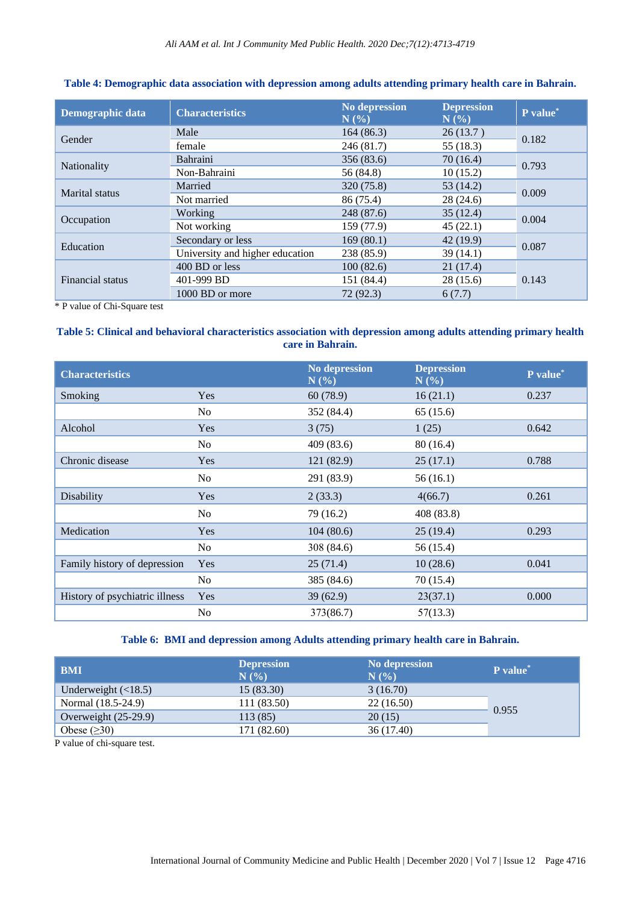| Demographic data      | <b>Characteristics</b>          | <b>No depression</b><br>N(%) | <b>Depression</b><br>$N(\%)$ | P value* |
|-----------------------|---------------------------------|------------------------------|------------------------------|----------|
| Gender                | Male                            | 164(86.3)                    | 26(13.7)                     |          |
|                       | female                          | 246(81.7)                    | 55(18.3)                     | 0.182    |
| Nationality           | Bahraini                        | 356 (83.6)                   | 70 (16.4)                    |          |
|                       | Non-Bahraini                    | 56 (84.8)                    | 10(15.2)                     | 0.793    |
| <b>Marital</b> status | Married                         | 320 (75.8)                   | 53 (14.2)                    |          |
|                       | Not married                     | 86 (75.4)                    | 28(24.6)                     | 0.009    |
| Occupation            | Working                         | 248 (87.6)                   | 35(12.4)                     |          |
|                       | Not working                     | 159 (77.9)                   | 45(22.1)                     | 0.004    |
| Education             | Secondary or less               | 169(80.1)                    | 42(19.9)                     |          |
|                       | University and higher education | 238 (85.9)                   | 39(14.1)                     | 0.087    |
| Financial status      | 400 BD or less                  | 100(82.6)                    | 21(17.4)                     |          |
|                       | 401-999 BD                      | 151 (84.4)                   | 28(15.6)                     | 0.143    |
|                       | 1000 BD or more                 | 72 (92.3)                    | 6(7.7)                       |          |

# **Table 4: Demographic data association with depression among adults attending primary health care in Bahrain.**

\* P value of Chi-Square test

# **Table 5: Clinical and behavioral characteristics association with depression among adults attending primary health care in Bahrain.**

| <b>Characteristics</b>         |                | <b>No depression</b><br>N(%) | <b>Depression</b><br>N(%) | P value* |
|--------------------------------|----------------|------------------------------|---------------------------|----------|
| Smoking                        | Yes            | 60(78.9)                     | 16(21.1)                  | 0.237    |
|                                | N <sub>o</sub> | 352 (84.4)                   | 65(15.6)                  |          |
| Alcohol                        | Yes            | 3(75)                        | 1(25)                     | 0.642    |
|                                | N <sub>o</sub> | 409 (83.6)                   | 80(16.4)                  |          |
| Chronic disease                | Yes            | 121 (82.9)                   | 25(17.1)                  | 0.788    |
|                                | No             | 291 (83.9)                   | 56(16.1)                  |          |
| Disability                     | Yes            | 2(33.3)                      | 4(66.7)                   | 0.261    |
|                                | No             | 79 (16.2)                    | 408 (83.8)                |          |
| Medication                     | Yes            | 104(80.6)                    | 25(19.4)                  | 0.293    |
|                                | N <sub>o</sub> | 308 (84.6)                   | 56 (15.4)                 |          |
| Family history of depression   | <b>Yes</b>     | 25(71.4)                     | 10(28.6)                  | 0.041    |
|                                | No             | 385 (84.6)                   | 70(15.4)                  |          |
| History of psychiatric illness | Yes            | 39(62.9)                     | 23(37.1)                  | 0.000    |
|                                | N <sub>0</sub> | 373(86.7)                    | 57(13.3)                  |          |

# **Table 6: BMI and depression among Adults attending primary health care in Bahrain.**

| <b>BMI</b>                | <b>Depression</b><br>N(% | No depression<br>$N(\%)$ | P value <sup>*</sup> |
|---------------------------|--------------------------|--------------------------|----------------------|
| Underweight $(\leq 18.5)$ | 15(83.30)                | 3(16.70)                 |                      |
| Normal (18.5-24.9)        | 111 (83.50)              | 22(16.50)                |                      |
| Overweight (25-29.9)      | 113 (85)                 | 20(15)                   | 0.955                |
| Obese $(\geq 30)$         | 171 (82.60)              | 36 (17.40)               |                      |

P value of chi-square test.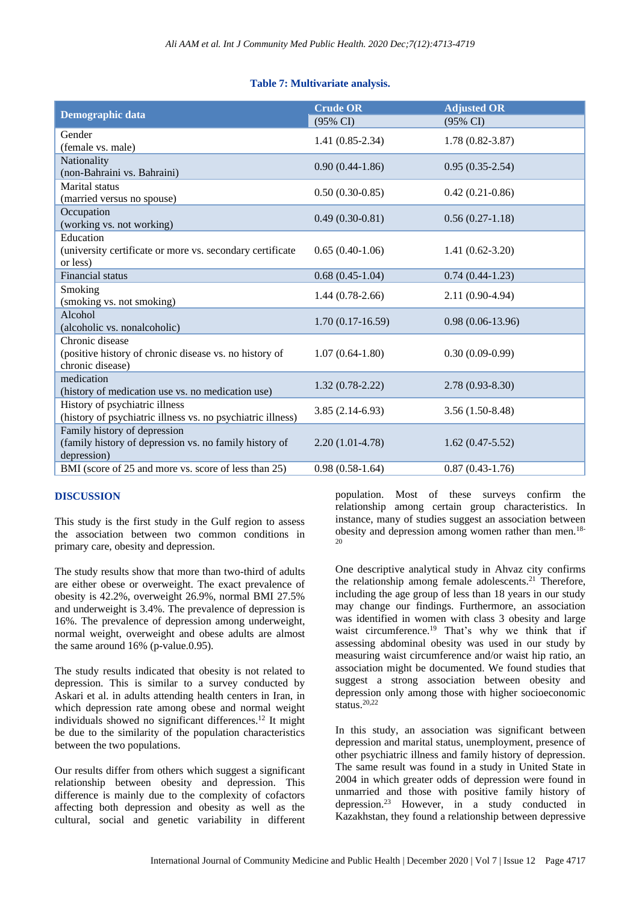# **Table 7: Multivariate analysis.**

|                                                             | <b>Crude OR</b>     | <b>Adjusted OR</b>  |
|-------------------------------------------------------------|---------------------|---------------------|
| Demographic data                                            | $(95\% \text{ CI})$ | $(95\% \text{ CI})$ |
| Gender                                                      | $1.41(0.85-2.34)$   | $1.78(0.82 - 3.87)$ |
| (female vs. male)                                           |                     |                     |
| Nationality                                                 | $0.90(0.44-1.86)$   | $0.95(0.35-2.54)$   |
| (non-Bahraini vs. Bahraini)                                 |                     |                     |
| Marital status                                              | $0.50(0.30-0.85)$   | $0.42(0.21-0.86)$   |
| (married versus no spouse)                                  |                     |                     |
| Occupation<br>(working vs. not working)                     | $0.49(0.30-0.81)$   | $0.56(0.27-1.18)$   |
| Education                                                   |                     |                     |
| (university certificate or more vs. secondary certificate   | $0.65(0.40-1.06)$   | $1.41(0.62 - 3.20)$ |
| or less)                                                    |                     |                     |
| Financial status                                            | $0.68(0.45-1.04)$   | $0.74(0.44-1.23)$   |
| Smoking                                                     | $1.44(0.78-2.66)$   | 2.11 (0.90-4.94)    |
| (smoking vs. not smoking)                                   |                     |                     |
| Alcohol                                                     | $1.70(0.17-16.59)$  | $0.98(0.06-13.96)$  |
| (alcoholic vs. nonalcoholic)                                |                     |                     |
| Chronic disease                                             |                     |                     |
| (positive history of chronic disease vs. no history of      | $1.07(0.64-1.80)$   | $0.30(0.09-0.99)$   |
| chronic disease)                                            |                     |                     |
| medication                                                  | $1.32(0.78-2.22)$   | $2.78(0.93 - 8.30)$ |
| (history of medication use vs. no medication use)           |                     |                     |
| History of psychiatric illness                              | $3.85(2.14-6.93)$   | $3.56(1.50-8.48)$   |
| (history of psychiatric illness vs. no psychiatric illness) |                     |                     |
| Family history of depression                                |                     |                     |
| (family history of depression vs. no family history of      | $2.20(1.01-4.78)$   | $1.62(0.47-5.52)$   |
| depression)                                                 |                     |                     |
| BMI (score of 25 and more vs. score of less than 25)        | $0.98(0.58-1.64)$   | $0.87(0.43-1.76)$   |

# **DISCUSSION**

This study is the first study in the Gulf region to assess the association between two common conditions in primary care, obesity and depression.

The study results show that more than two-third of adults are either obese or overweight. The exact prevalence of obesity is 42.2%, overweight 26.9%, normal BMI 27.5% and underweight is 3.4%. The prevalence of depression is 16%. The prevalence of depression among underweight, normal weight, overweight and obese adults are almost the same around 16% (p-value.0.95).

The study results indicated that obesity is not related to depression. This is similar to a survey conducted by Askari et al. in adults attending health centers in Iran, in which depression rate among obese and normal weight individuals showed no significant differences.<sup>12</sup> It might be due to the similarity of the population characteristics between the two populations.

Our results differ from others which suggest a significant relationship between obesity and depression. This difference is mainly due to the complexity of cofactors affecting both depression and obesity as well as the cultural, social and genetic variability in different

population. Most of these surveys confirm the relationship among certain group characteristics. In instance, many of studies suggest an association between obesity and depression among women rather than men.18- 20

One descriptive analytical study in Ahvaz city confirms the relationship among female adolescents.<sup>21</sup> Therefore, including the age group of less than 18 years in our study may change our findings. Furthermore, an association was identified in women with class 3 obesity and large waist circumference.<sup>19</sup> That's why we think that if assessing abdominal obesity was used in our study by measuring waist circumference and/or waist hip ratio, an association might be documented. We found studies that suggest a strong association between obesity and depression only among those with higher socioeconomic status.<sup>20,22</sup>

In this study, an association was significant between depression and marital status, unemployment, presence of other psychiatric illness and family history of depression. The same result was found in a study in United State in 2004 in which greater odds of depression were found in unmarried and those with positive family history of depression.<sup>23</sup> However, in a study conducted in Kazakhstan, they found a relationship between depressive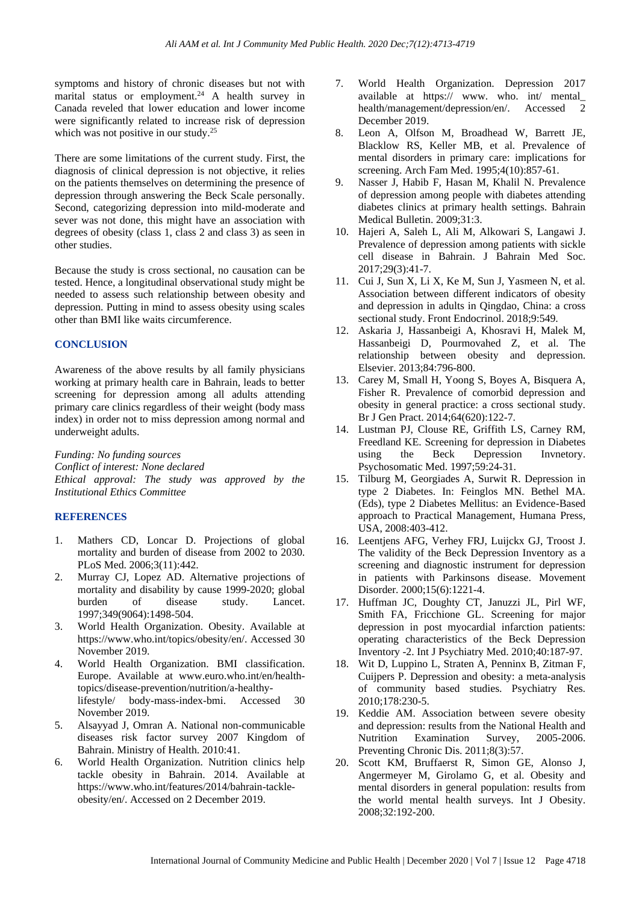symptoms and history of chronic diseases but not with marital status or employment.<sup>24</sup> A health survey in Canada reveled that lower education and lower income were significantly related to increase risk of depression which was not positive in our study.<sup>25</sup>

There are some limitations of the current study. First, the diagnosis of clinical depression is not objective, it relies on the patients themselves on determining the presence of depression through answering the Beck Scale personally. Second, categorizing depression into mild-moderate and sever was not done, this might have an association with degrees of obesity (class 1, class 2 and class 3) as seen in other studies.

Because the study is cross sectional, no causation can be tested. Hence, a longitudinal observational study might be needed to assess such relationship between obesity and depression. Putting in mind to assess obesity using scales other than BMI like waits circumference.

#### **CONCLUSION**

Awareness of the above results by all family physicians working at primary health care in Bahrain, leads to better screening for depression among all adults attending primary care clinics regardless of their weight (body mass index) in order not to miss depression among normal and underweight adults.

*Funding: No funding sources Conflict of interest: None declared Ethical approval: The study was approved by the Institutional Ethics Committee*

# **REFERENCES**

- 1. Mathers CD, Loncar D. Projections of global mortality and burden of disease from 2002 to 2030. PLoS Med. 2006;3(11):442.
- 2. Murray CJ, Lopez AD. Alternative projections of mortality and disability by cause 1999-2020; global burden of disease study. Lancet. 1997;349(9064):1498-504.
- 3. World Health Organization. Obesity. Available at https://www.who.int/topics/obesity/en/. Accessed 30 November 2019.
- 4. World Health Organization. BMI classification. Europe. Available at www.euro.who.int/en/healthtopics/disease-prevention/nutrition/a-healthylifestyle/ body-mass-index-bmi. Accessed 30 November 2019.
- 5. Alsayyad J, Omran A. National non-communicable diseases risk factor survey 2007 Kingdom of Bahrain. Ministry of Health. 2010:41.
- 6. World Health Organization. Nutrition clinics help tackle obesity in Bahrain. 2014. Available at https://www.who.int/features/2014/bahrain-tackleobesity/en/. Accessed on 2 December 2019.
- 7. World Health Organization. Depression 2017 available at https:// www. who. int/ mental\_ health/management/depression/en/. Accessed 2 December 2019.
- 8. Leon A, Olfson M, Broadhead W, Barrett JE, Blacklow RS, Keller MB, et al. Prevalence of mental disorders in primary care: implications for screening. Arch Fam Med. 1995;4(10):857-61.
- 9. Nasser J, Habib F, Hasan M, Khalil N. Prevalence of depression among people with diabetes attending diabetes clinics at primary health settings. Bahrain Medical Bulletin. 2009;31:3.
- 10. Hajeri A, Saleh L, Ali M, Alkowari S, Langawi J. Prevalence of depression among patients with sickle cell disease in Bahrain. J Bahrain Med Soc. 2017;29(3):41-7.
- 11. Cui J, Sun X, Li X, Ke M, Sun J, Yasmeen N, et al. Association between different indicators of obesity and depression in adults in Qingdao, China: a cross sectional study. Front Endocrinol. 2018;9:549.
- 12. Askaria J, Hassanbeigi A, Khosravi H, Malek M, Hassanbeigi D, Pourmovahed Z, et al. The relationship between obesity and depression. Elsevier. 2013;84:796-800.
- 13. Carey M, Small H, Yoong S, Boyes A, Bisquera A, Fisher R. Prevalence of comorbid depression and obesity in general practice: a cross sectional study. Br J Gen Pract. 2014;64(620):122-7.
- 14. Lustman PJ, Clouse RE, Griffith LS, Carney RM, Freedland KE. Screening for depression in Diabetes using the Beck Depression Invnetory. Psychosomatic Med. 1997;59:24-31.
- 15. Tilburg M, Georgiades A, Surwit R. Depression in type 2 Diabetes. In: Feinglos MN. Bethel MA. (Eds), type 2 Diabetes Mellitus: an Evidence-Based approach to Practical Management, Humana Press, USA, 2008:403-412.
- 16. Leentjens AFG, Verhey FRJ, Luijckx GJ, Troost J. The validity of the Beck Depression Inventory as a screening and diagnostic instrument for depression in patients with Parkinsons disease. Movement Disorder. 2000;15(6):1221-4.
- 17. Huffman JC, Doughty CT, Januzzi JL, Pirl WF, Smith FA, Fricchione GL. Screening for major depression in post myocardial infarction patients: operating characteristics of the Beck Depression Inventory -2. Int J Psychiatry Med. 2010;40:187-97.
- 18. Wit D, Luppino L, Straten A, Penninx B, Zitman F, Cuijpers P. Depression and obesity: a meta-analysis of community based studies. Psychiatry Res. 2010;178:230-5.
- 19. Keddie AM. Association between severe obesity and depression: results from the National Health and Nutrition Examination Survey, 2005-2006. Preventing Chronic Dis. 2011;8(3):57.
- 20. Scott KM, Bruffaerst R, Simon GE, Alonso J, Angermeyer M, Girolamo G, et al. Obesity and mental disorders in general population: results from the world mental health surveys. Int J Obesity. 2008;32:192-200.